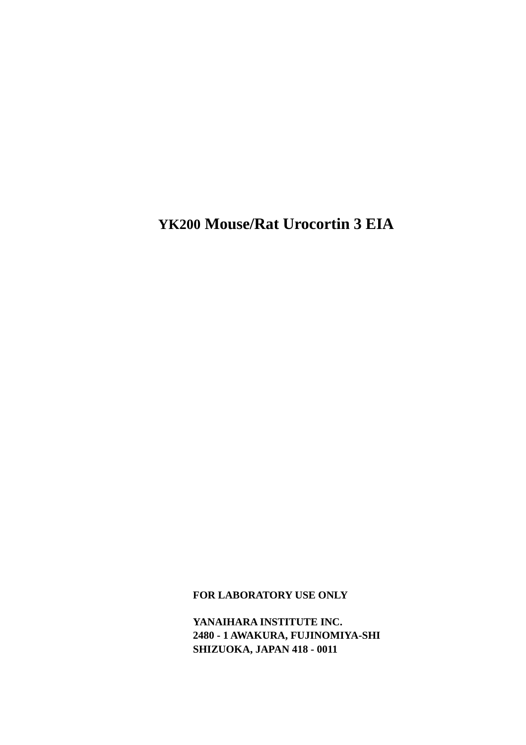**YK200 Mouse/Rat Urocortin 3 EIA** 

**FOR LABORATORY USE ONLY** 

**YANAIHARA INSTITUTE INC. 2480 - 1 AWAKURA, FUJINOMIYA-SHI SHIZUOKA, JAPAN 418 - 0011**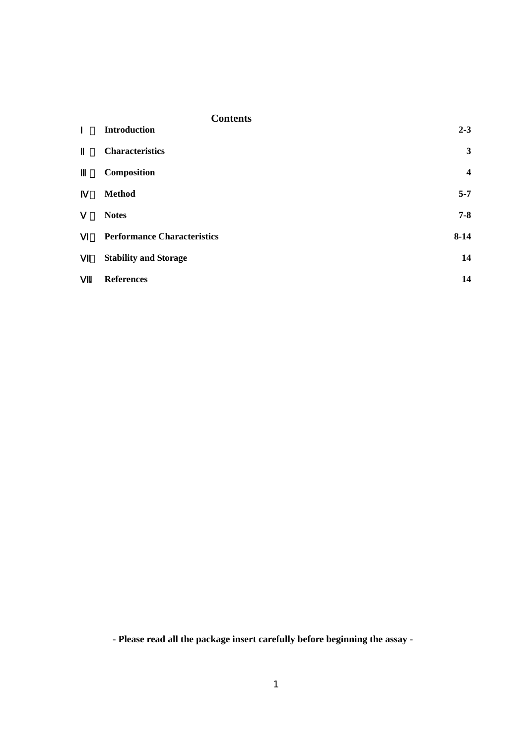|           | <b>Contents</b>                    |                  |
|-----------|------------------------------------|------------------|
|           | <b>Introduction</b>                | $2 - 3$          |
|           | <b>Characteristics</b>             | $\mathbf{3}$     |
|           | Composition                        | $\boldsymbol{4}$ |
|           | <b>Method</b>                      | $5 - 7$          |
|           | <b>Notes</b>                       | $7 - 8$          |
|           | <b>Performance Characteristics</b> | $8 - 14$         |
|           | <b>Stability and Storage</b>       | 14               |
| $\bullet$ | <b>References</b>                  | 14               |

**- Please read all the package insert carefully before beginning the assay -**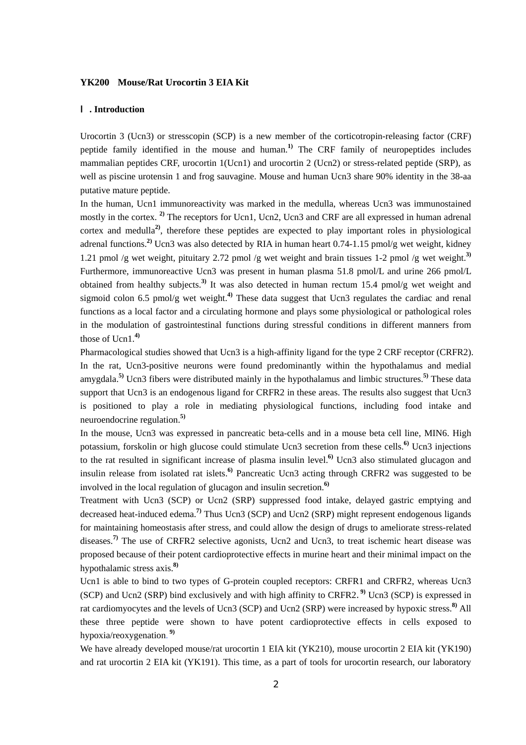### **YK200 Mouse/Rat Urocortin 3 EIA Kit**

#### Ⅰ**. Introduction**

Urocortin 3 (Ucn3) or stresscopin (SCP) is a new member of the corticotropin-releasing factor (CRF) peptide family identified in the mouse and human.**1)** The CRF family of neuropeptides includes mammalian peptides CRF, urocortin 1(Ucn1) and urocortin 2 (Ucn2) or stress-related peptide (SRP), as well as piscine urotensin 1 and frog sauvagine. Mouse and human Ucn3 share 90% identity in the 38-aa putative mature peptide.

In the human, Ucn1 immunoreactivity was marked in the medulla, whereas Ucn3 was immunostained mostly in the cortex. **2)** The receptors for Ucn1, Ucn2, Ucn3 and CRF are all expressed in human adrenal cortex and medulla**2)**, therefore these peptides are expected to play important roles in physiological adrenal functions.**2)** Ucn3 was also detected by RIA in human heart 0.74-1.15 pmol/g wet weight, kidney 1.21 pmol /g wet weight, pituitary 2.72 pmol /g wet weight and brain tissues 1-2 pmol /g wet weight. **3)** Furthermore, immunoreactive Ucn3 was present in human plasma 51.8 pmol/L and urine 266 pmol/L obtained from healthy subjects.**3)** It was also detected in human rectum 15.4 pmol/g wet weight and sigmoid colon 6.5 pmol/g wet weight.**4)** These data suggest that Ucn3 regulates the cardiac and renal functions as a local factor and a circulating hormone and plays some physiological or pathological roles in the modulation of gastrointestinal functions during stressful conditions in different manners from those of Ucn1. **4)**

Pharmacological studies showed that Ucn3 is a high-affinity ligand for the type 2 CRF receptor (CRFR2). In the rat, Ucn3-positive neurons were found predominantly within the hypothalamus and medial amygdala.**5)** Ucn3 fibers were distributed mainly in the hypothalamus and limbic structures.**5)** These data support that Ucn3 is an endogenous ligand for CRFR2 in these areas. The results also suggest that Ucn3 is positioned to play a role in mediating physiological functions, including food intake and neuroendocrine regulation. **5)**

In the mouse, Ucn3 was expressed in pancreatic beta-cells and in a mouse beta cell line, MIN6. High potassium, forskolin or high glucose could stimulate Ucn3 secretion from these cells.**6)** Ucn3 injections to the rat resulted in significant increase of plasma insulin level.**6)** Ucn3 also stimulated glucagon and insulin release from isolated rat islets.**6)** Pancreatic Ucn3 acting through CRFR2 was suggested to be involved in the local regulation of glucagon and insulin secretion. **6)**

Treatment with Ucn3 (SCP) or Ucn2 (SRP) suppressed food intake, delayed gastric emptying and decreased heat-induced edema.**7)** Thus Ucn3 (SCP) and Ucn2 (SRP) might represent endogenous ligands for maintaining homeostasis after stress, and could allow the design of drugs to ameliorate stress-related diseases.**7)** The use of CRFR2 selective agonists, Ucn2 and Ucn3, to treat ischemic heart disease was proposed because of their potent cardioprotective effects in murine heart and their minimal impact on the hypothalamic stress axis.**8)**

Ucn1 is able to bind to two types of G-protein coupled receptors: CRFR1 and CRFR2, whereas Ucn3 (SCP) and Ucn2 (SRP) bind exclusively and with high affinity to CRFR2.<sup>9</sup> Ucn3 (SCP) is expressed in rat cardiomyocytes and the levels of Ucn3 (SCP) and Ucn2 (SRP) were increased by hypoxic stress. **8)** All these three peptide were shown to have potent cardioprotective effects in cells exposed to hypoxia/reoxygenation.  **9)** 

We have already developed mouse/rat urocortin 1 EIA kit (YK210), mouse urocortin 2 EIA kit (YK190) and rat urocortin 2 EIA kit (YK191). This time, as a part of tools for urocortin research, our laboratory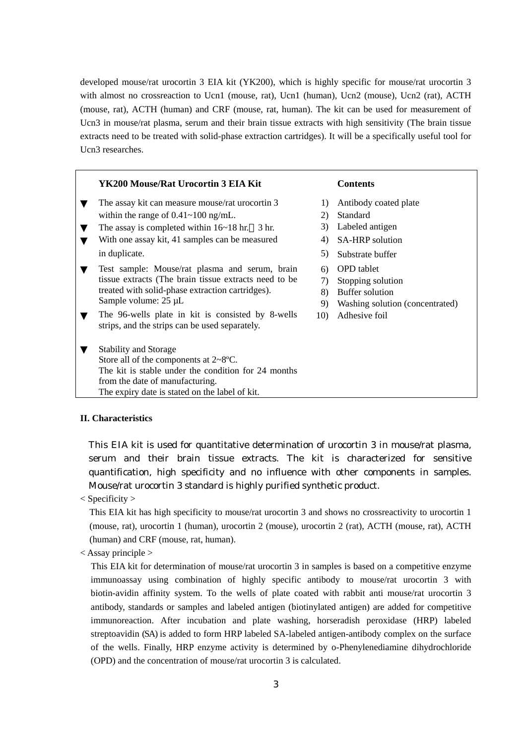developed mouse/rat urocortin 3 EIA kit (YK200), which is highly specific for mouse/rat urocortin 3 with almost no crossreaction to Ucn1 (mouse, rat), Ucn1 (human), Ucn2 (mouse), Ucn2 (rat), ACTH (mouse, rat), ACTH (human) and CRF (mouse, rat, human). The kit can be used for measurement of Ucn3 in mouse/rat plasma, serum and their brain tissue extracts with high sensitivity (The brain tissue extracts need to be treated with solid-phase extraction cartridges). It will be a specifically useful tool for Ucn3 researches.

| YK200 Mouse/Rat Urocortin 3 EIA Kit                                                                 |              | <b>Contents</b>                 |
|-----------------------------------------------------------------------------------------------------|--------------|---------------------------------|
| The assay kit can measure mouse/rat urocortin 3                                                     | $\mathbf{D}$ | Antibody coated plate           |
| within the range of $0.41 \sim 100$ ng/mL.                                                          | 2)           | Standard                        |
| The assay is completed within $16~18$ hr. 3 hr.                                                     | 3)           | Labeled antigen                 |
| With one assay kit, 41 samples can be measured                                                      | 4)           | <b>SA-HRP</b> solution          |
| in duplicate.                                                                                       | 5)           | Substrate buffer                |
| Test sample: Mouse/rat plasma and serum, brain                                                      | 6)           | <b>OPD</b> tablet               |
| tissue extracts (The brain tissue extracts need to be                                               | 7)           | Stopping solution               |
| treated with solid-phase extraction cartridges).                                                    | 8)           | Buffer solution                 |
| Sample volume: $25 \mu L$                                                                           | 9)           | Washing solution (concentrated) |
| The 96-wells plate in kit is consisted by 8-wells<br>strips, and the strips can be used separately. | 10)          | Adhesive foil                   |
| <b>Stability and Storage</b>                                                                        |              |                                 |
| Store all of the components at $2 \sim 8$ °C.                                                       |              |                                 |
| The kit is stable under the condition for 24 months                                                 |              |                                 |
| from the date of manufacturing.                                                                     |              |                                 |
| The expiry date is stated on the label of kit.                                                      |              |                                 |
|                                                                                                     |              |                                 |

#### **II. Characteristics**

This EIA kit is used for quantitative determination of urocortin 3 in mouse/rat plasma, serum and their brain tissue extracts. The kit is characterized for sensitive quantification, high specificity and no influence with other components in samples. Mouse/rat urocortin 3 standard is highly purified synthetic product.

 $<$  Specificity  $>$ 

This EIA kit has high specificity to mouse/rat urocortin 3 and shows no crossreactivity to urocortin 1 (mouse, rat), urocortin 1 (human), urocortin 2 (mouse), urocortin 2 (rat), ACTH (mouse, rat), ACTH (human) and CRF (mouse, rat, human).

< Assay principle >

This EIA kit for determination of mouse/rat urocortin 3 in samples is based on a competitive enzyme immunoassay using combination of highly specific antibody to mouse/rat urocortin 3 with biotin-avidin affinity system. To the wells of plate coated with rabbit anti mouse/rat urocortin 3 antibody, standards or samples and labeled antigen (biotinylated antigen) are added for competitive immunoreaction. After incubation and plate washing, horseradish peroxidase (HRP) labeled streptoavidin (SA) is added to form HRP labeled SA-labeled antigen-antibody complex on the surface of the wells. Finally, HRP enzyme activity is determined by o-Phenylenediamine dihydrochloride (OPD) and the concentration of mouse/rat urocortin 3 is calculated.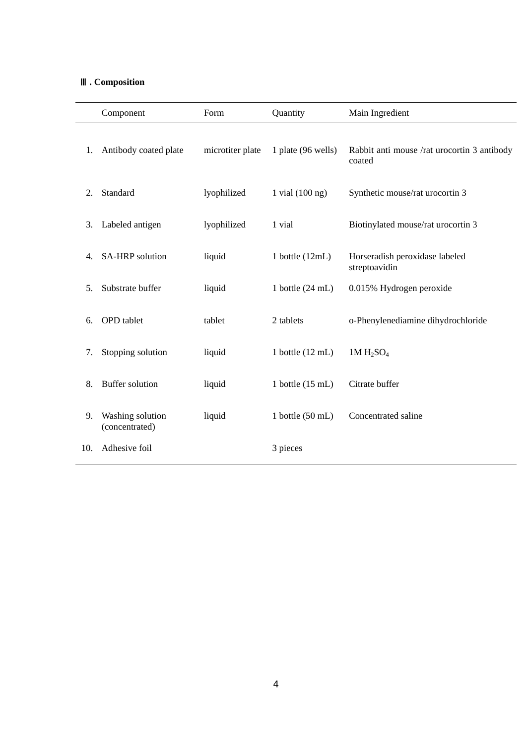# Ⅲ**. Composition**

|     | Component                          | Form             | Quantity                   | Main Ingredient                                       |
|-----|------------------------------------|------------------|----------------------------|-------------------------------------------------------|
| 1.  | Antibody coated plate              | microtiter plate | 1 plate (96 wells)         | Rabbit anti mouse /rat urocortin 3 antibody<br>coated |
| 2.  | Standard                           | lyophilized      | 1 vial $(100 \text{ ng})$  | Synthetic mouse/rat urocortin 3                       |
| 3.  | Labeled antigen                    | lyophilized      | 1 vial                     | Biotinylated mouse/rat urocortin 3                    |
| 4.  | SA-HRP solution                    | liquid           | 1 bottle $(12mL)$          | Horseradish peroxidase labeled<br>streptoavidin       |
| 5.  | Substrate buffer                   | liquid           | 1 bottle $(24 \text{ mL})$ | 0.015% Hydrogen peroxide                              |
| 6.  | <b>OPD</b> tablet                  | tablet           | 2 tablets                  | o-Phenylenediamine dihydrochloride                    |
| 7.  | Stopping solution                  | liquid           | 1 bottle $(12 \text{ mL})$ | $1M H_2SO_4$                                          |
| 8.  | Buffer solution                    | liquid           | 1 bottle $(15 \text{ mL})$ | Citrate buffer                                        |
| 9.  | Washing solution<br>(concentrated) | liquid           | 1 bottle $(50$ mL)         | Concentrated saline                                   |
| 10. | Adhesive foil                      |                  | 3 pieces                   |                                                       |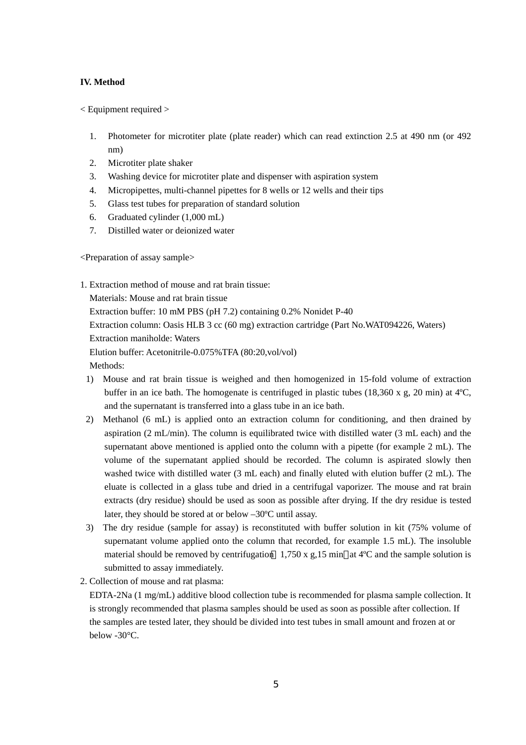## **IV. Method**

< Equipment required >

- 1. Photometer for microtiter plate (plate reader) which can read extinction 2.5 at 490 nm (or 492 nm)
- 2. Microtiter plate shaker
- 3. Washing device for microtiter plate and dispenser with aspiration system
- 4. Micropipettes, multi-channel pipettes for 8 wells or 12 wells and their tips
- 5. Glass test tubes for preparation of standard solution
- 6. Graduated cylinder (1,000 mL)
- 7. Distilled water or deionized water

<Preparation of assay sample>

1. Extraction method of mouse and rat brain tissue:

Materials: Mouse and rat brain tissue Extraction buffer: 10 mM PBS (pH 7.2) containing 0.2% Nonidet P-40 Extraction column: Oasis HLB 3 cc (60 mg) extraction cartridge (Part No.WAT094226, Waters) Extraction maniholde: Waters Elution buffer: Acetonitrile-0.075%TFA (80:20,vol/vol) Methods:

- 1) Mouse and rat brain tissue is weighed and then homogenized in 15-fold volume of extraction buffer in an ice bath. The homogenate is centrifuged in plastic tubes (18,360 x g, 20 min) at  $4^{\circ}$ C, and the supernatant is transferred into a glass tube in an ice bath.
- 2) Methanol (6 mL) is applied onto an extraction column for conditioning, and then drained by aspiration (2 mL/min). The column is equilibrated twice with distilled water (3 mL each) and the supernatant above mentioned is applied onto the column with a pipette (for example 2 mL). The volume of the supernatant applied should be recorded. The column is aspirated slowly then washed twice with distilled water (3 mL each) and finally eluted with elution buffer (2 mL). The eluate is collected in a glass tube and dried in a centrifugal vaporizer. The mouse and rat brain extracts (dry residue) should be used as soon as possible after drying. If the dry residue is tested later, they should be stored at or below –30ºC until assay.
- 3) The dry residue (sample for assay) is reconstituted with buffer solution in kit (75% volume of supernatant volume applied onto the column that recorded, for example 1.5 mL). The insoluble material should be removed by centrifugation 1,750 x g,15 min at  $4^{\circ}$ C and the sample solution is submitted to assay immediately.
- 2. Collection of mouse and rat plasma:

EDTA-2Na (1 mg/mL) additive blood collection tube is recommended for plasma sample collection. It is strongly recommended that plasma samples should be used as soon as possible after collection. If the samples are tested later, they should be divided into test tubes in small amount and frozen at or below -30°C.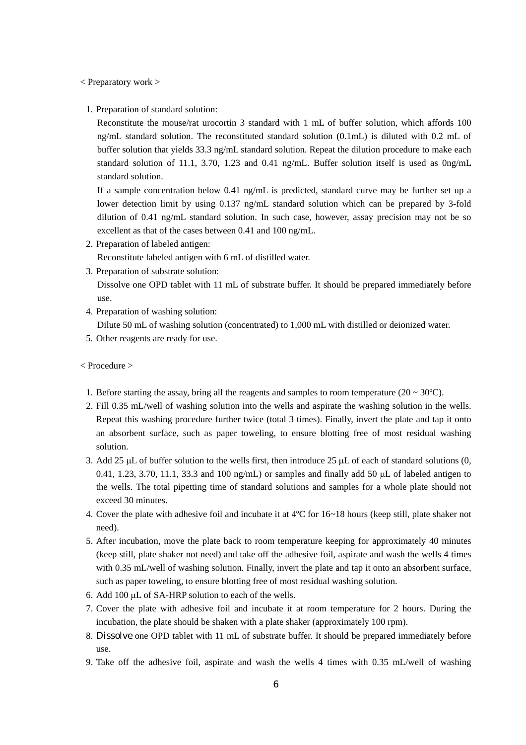< Preparatory work >

1. Preparation of standard solution:

Reconstitute the mouse/rat urocortin 3 standard with 1 mL of buffer solution, which affords 100 ng/mL standard solution. The reconstituted standard solution (0.1mL) is diluted with 0.2 mL of buffer solution that yields 33.3 ng/mL standard solution. Repeat the dilution procedure to make each standard solution of 11.1, 3.70, 1.23 and 0.41 ng/mL. Buffer solution itself is used as 0ng/mL standard solution.

If a sample concentration below 0.41 ng/mL is predicted, standard curve may be further set up a lower detection limit by using 0.137 ng/mL standard solution which can be prepared by 3-fold dilution of 0.41 ng/mL standard solution. In such case, however, assay precision may not be so excellent as that of the cases between 0.41 and 100 ng/mL.

- 2. Preparation of labeled antigen: Reconstitute labeled antigen with 6 mL of distilled water.
- 3. Preparation of substrate solution:

Dissolve one OPD tablet with 11 mL of substrate buffer. It should be prepared immediately before use.

4. Preparation of washing solution:

Dilute 50 mL of washing solution (concentrated) to 1,000 mL with distilled or deionized water.

5. Other reagents are ready for use.

#### < Procedure >

- 1. Before starting the assay, bring all the reagents and samples to room temperature ( $20 \sim 30^{\circ}$ C).
- 2. Fill 0.35 mL/well of washing solution into the wells and aspirate the washing solution in the wells. Repeat this washing procedure further twice (total 3 times). Finally, invert the plate and tap it onto an absorbent surface, such as paper toweling, to ensure blotting free of most residual washing solution.
- 3. Add 25  $\mu$ L of buffer solution to the wells first, then introduce 25  $\mu$ L of each of standard solutions (0, 0.41, 1.23, 3.70, 11.1, 33.3 and 100 ng/mL) or samples and finally add 50  $\mu$ L of labeled antigen to the wells. The total pipetting time of standard solutions and samples for a whole plate should not exceed 30 minutes.
- 4. Cover the plate with adhesive foil and incubate it at 4ºC for 16~18 hours (keep still, plate shaker not need).
- 5. After incubation, move the plate back to room temperature keeping for approximately 40 minutes (keep still, plate shaker not need) and take off the adhesive foil, aspirate and wash the wells 4 times with 0.35 mL/well of washing solution. Finally, invert the plate and tap it onto an absorbent surface, such as paper toweling, to ensure blotting free of most residual washing solution.
- 6. Add 100 µL of SA-HRP solution to each of the wells.
- 7. Cover the plate with adhesive foil and incubate it at room temperature for 2 hours. During the incubation, the plate should be shaken with a plate shaker (approximately 100 rpm).
- 8. Dissolve one OPD tablet with 11 mL of substrate buffer. It should be prepared immediately before use.
- 9. Take off the adhesive foil, aspirate and wash the wells 4 times with 0.35 mL/well of washing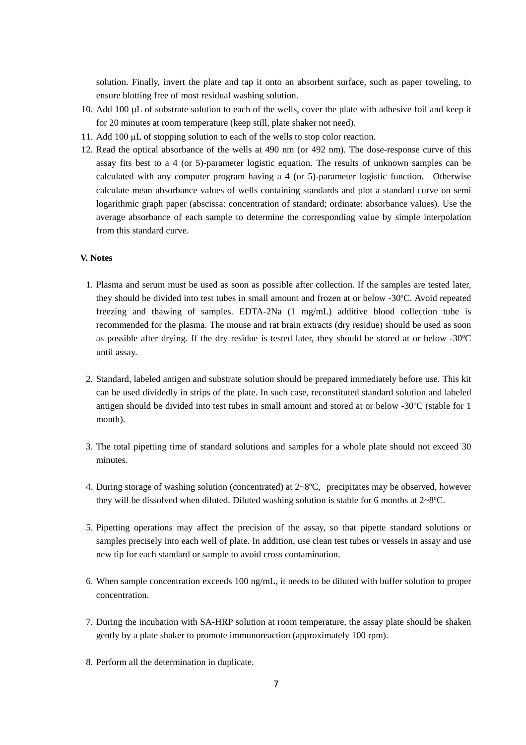solution. Finally, invert the plate and tap it onto an absorbent surface, such as paper toweling, to ensure blotting free of most residual washing solution.

- 10. Add 100 µL of substrate solution to each of the wells, cover the plate with adhesive foil and keep it for 20 minutes at room temperature (keep still, plate shaker not need).
- 11. Add 100 µL of stopping solution to each of the wells to stop color reaction.
- 12. Read the optical absorbance of the wells at 490 nm (or 492 nm). The dose-response curve of this assay fits best to a 4 (or 5)-parameter logistic equation. The results of unknown samples can be calculated with any computer program having a 4 (or 5)-parameter logistic function. Otherwise calculate mean absorbance values of wells containing standards and plot a standard curve on semi logarithmic graph paper (abscissa: concentration of standard; ordinate: absorbance values). Use the average absorbance of each sample to determine the corresponding value by simple interpolation from this standard curve.

## **V. Notes**

- 1. Plasma and serum must be used as soon as possible after collection. If the samples are tested later, they should be divided into test tubes in small amount and frozen at or below -30ºC. Avoid repeated freezing and thawing of samples. EDTA-2Na (1 mg/mL) additive blood collection tube is recommended for the plasma. The mouse and rat brain extracts (dry residue) should be used as soon as possible after drying. If the dry residue is tested later, they should be stored at or below -30ºC until assay.
- 2. Standard, labeled antigen and substrate solution should be prepared immediately before use. This kit can be used dividedly in strips of the plate. In such case, reconstituted standard solution and labeled antigen should be divided into test tubes in small amount and stored at or below -30ºC (stable for 1 month).
- 3. The total pipetting time of standard solutions and samples for a whole plate should not exceed 30 minutes.
- 4. During storage of washing solution (concentrated) at 2~8ºC, precipitates may be observed, however they will be dissolved when diluted. Diluted washing solution is stable for 6 months at  $2 \times 8$ °C.
- 5. Pipetting operations may affect the precision of the assay, so that pipette standard solutions or samples precisely into each well of plate. In addition, use clean test tubes or vessels in assay and use new tip for each standard or sample to avoid cross contamination.
- 6. When sample concentration exceeds 100 ng/mL, it needs to be diluted with buffer solution to proper concentration.
- 7. During the incubation with SA-HRP solution at room temperature, the assay plate should be shaken gently by a plate shaker to promote immunoreaction (approximately 100 rpm).
- 8. Perform all the determination in duplicate.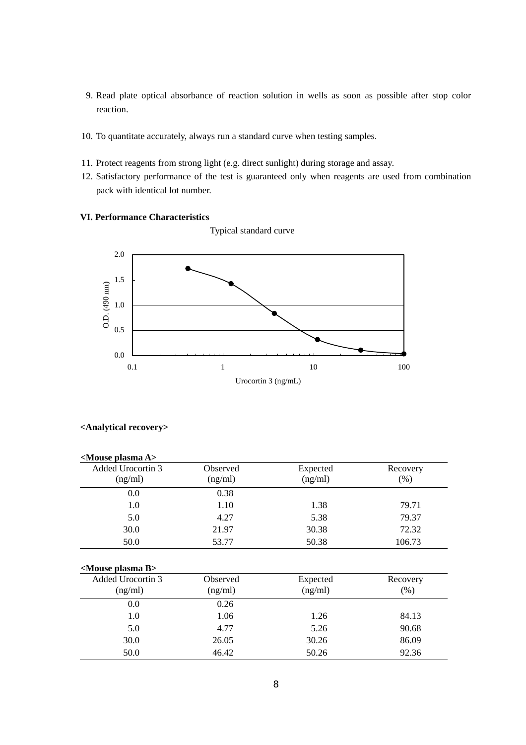- 9. Read plate optical absorbance of reaction solution in wells as soon as possible after stop color reaction.
- 10. To quantitate accurately, always run a standard curve when testing samples.
- 11. Protect reagents from strong light (e.g. direct sunlight) during storage and assay.
- 12. Satisfactory performance of the test is guaranteed only when reagents are used from combination pack with identical lot number.

## **VI. Performance Characteristics**

Typical standard curve



# **<Analytical recovery>**

| <mouse a="" plasma=""></mouse> |          |          |          |
|--------------------------------|----------|----------|----------|
| Added Urocortin 3              | Observed | Expected | Recovery |
| (ng/ml)                        | (ng/ml)  | (ng/ml)  | (% )     |
| 0.0                            | 0.38     |          |          |
| 1.0                            | 1.10     | 1.38     | 79.71    |
| 5.0                            | 4.27     | 5.38     | 79.37    |
| 30.0                           | 21.97    | 30.38    | 72.32    |
| 50.0                           | 53.77    | 50.38    | 106.73   |
|                                |          |          |          |
| <mouse b="" plasma=""></mouse> |          |          |          |
| Added Urocortin 3              | Observed | Expected | Recovery |
| (ng/ml)                        | (ng/ml)  | (ng/ml)  | (% )     |
| 0.0                            | 0.26     |          |          |
| 1.0                            | 1.06     | 1.26     | 84.13    |
| 5.0                            | 4.77     | 5.26     | 90.68    |
| 30.0                           | 26.05    | 30.26    | 86.09    |
| 50.0                           | 46.42    | 50.26    | 92.36    |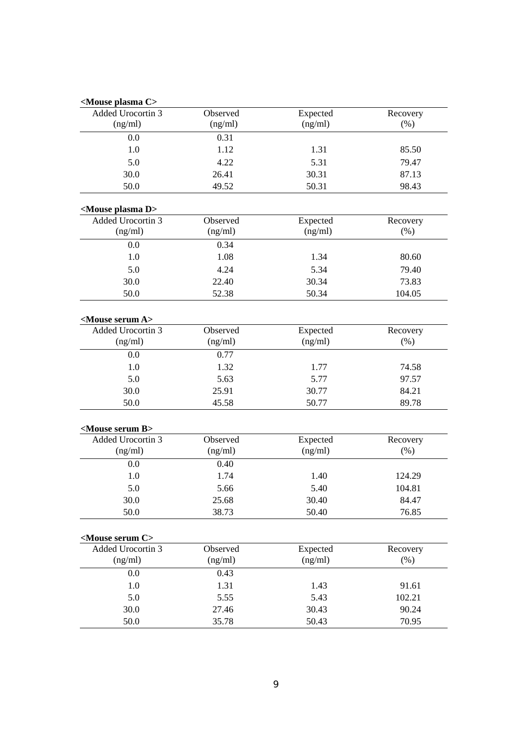| <mouse c="" plasma=""></mouse>                      |               |                     |                  |
|-----------------------------------------------------|---------------|---------------------|------------------|
| Added Urocortin 3                                   | Observed      | Expected            | Recovery         |
| (ng/ml)                                             | (ng/ml)       | (ng/ml)             | (% )             |
| 0.0                                                 | 0.31          |                     |                  |
| 1.0                                                 | 1.12          | 1.31                | 85.50            |
| 5.0                                                 | 4.22          | 5.31                | 79.47            |
| 30.0                                                | 26.41         | 30.31               | 87.13            |
| 50.0                                                | 49.52         | 50.31               | 98.43            |
| <mouse d="" plasma=""></mouse>                      |               |                     |                  |
| Added Urocortin 3                                   | Observed      | Expected            | Recovery         |
| (ng/ml)                                             | (ng/ml)       | (ng/ml)             | (% )             |
| 0.0                                                 | 0.34          |                     |                  |
| 1.0                                                 | 1.08          | 1.34                | 80.60            |
| 5.0                                                 | 4.24          | 5.34                | 79.40            |
| 30.0                                                | 22.40         | 30.34               | 73.83            |
| 50.0                                                | 52.38         | 50.34               | 104.05           |
|                                                     |               |                     |                  |
| <mouse a="" serum=""><br/>Added Urocortin 3</mouse> | Observed      |                     |                  |
| (ng/ml)                                             | (ng/ml)       | Expected<br>(ng/ml) | Recovery<br>(% ) |
|                                                     |               |                     |                  |
| 0.0                                                 | 0.77          |                     |                  |
| 1.0                                                 | 1.32          | 1.77                | 74.58            |
| 5.0                                                 | 5.63          | 5.77                | 97.57            |
| 30.0                                                | 25.91         | 30.77               | 84.21            |
| 50.0                                                | 45.58         | 50.77               | 89.78            |
| <mouse b="" serum=""></mouse>                       |               |                     |                  |
| Added Urocortin 3                                   | Observed      | Expected            | Recovery         |
| (ng/ml)                                             | (ng/ml)       | (ng/ml)             | (% )             |
| 0.0                                                 | 0.40          |                     |                  |
| 1.0                                                 | 1.74          | 1.40                | 124.29           |
| 5.0                                                 | 5.66          | 5.40                | 104.81           |
| 30.0                                                | 25.68         | 30.40               | 84.47            |
| 50.0                                                | 38.73         | 50.40               | 76.85            |
| <mouse c="" serum=""></mouse>                       |               |                     |                  |
| Added Urocortin 3                                   | Observed      | Expected            | Recovery         |
| (ng/ml)                                             | (ng/ml)       | (ng/ml)             | (% )             |
| 0.0                                                 | 0.43          |                     |                  |
|                                                     |               |                     |                  |
|                                                     |               |                     |                  |
| $1.0\,$                                             | 1.31          | 1.43                | 91.61            |
| 5.0<br>30.0                                         | 5.55<br>27.46 | 5.43<br>30.43       | 102.21<br>90.24  |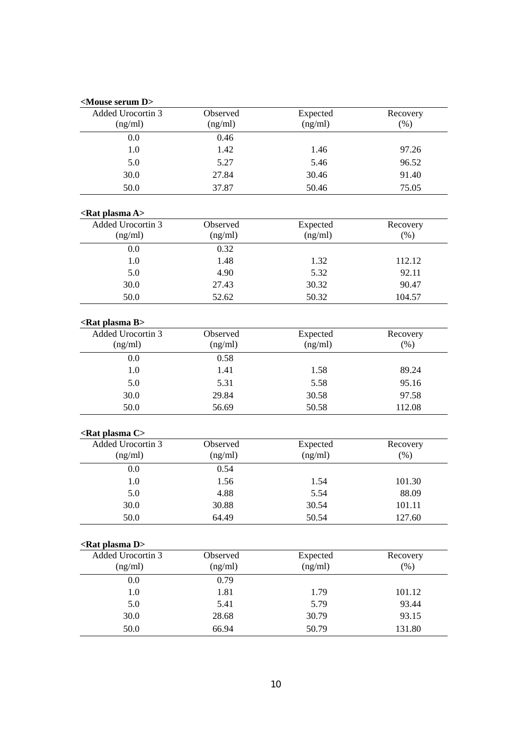## **<Mouse serum D>**

| $\sim$ $\sim$ $\sim$         |                     |                     |                    |  |  |
|------------------------------|---------------------|---------------------|--------------------|--|--|
| Added Urocortin 3<br>(ng/ml) | Observed<br>(ng/ml) | Expected<br>(ng/ml) | Recovery<br>$(\%)$ |  |  |
| 0.0                          | 0.46                |                     |                    |  |  |
| 1.0                          | 1.42                | 1.46                | 97.26              |  |  |
| 5.0                          | 5.27                | 5.46                | 96.52              |  |  |
| 30.0                         | 27.84               | 30.46               | 91.40              |  |  |
| 50.0                         | 37.87               | 50.46               | 75.05              |  |  |
|                              |                     |                     |                    |  |  |

# **<Rat plasma A>**

| <kat a="" piasina=""></kat>  |                     |                     |                     |  |  |
|------------------------------|---------------------|---------------------|---------------------|--|--|
| Added Urocortin 3<br>(ng/ml) | Observed<br>(ng/ml) | Expected<br>(ng/ml) | Recovery<br>$(\% )$ |  |  |
| 0.0                          | 0.32                |                     |                     |  |  |
| 1.0                          | 1.48                | 1.32                | 112.12              |  |  |
| 5.0                          | 4.90                | 5.32                | 92.11               |  |  |
| 30.0                         | 27.43               | 30.32               | 90.47               |  |  |
| 50.0                         | 52.62               | 50.32               | 104.57              |  |  |

# **<Rat plasma B>**

| Added Urocortin 3<br>(ng/ml) | Observed<br>(ng/ml) | Expected<br>(ng/ml) | Recovery<br>(% ) |
|------------------------------|---------------------|---------------------|------------------|
| 0.0                          | 0.58                |                     |                  |
| 1.0                          | 1.41                | 1.58                | 89.24            |
| 5.0                          | 5.31                | 5.58                | 95.16            |
| 30.0                         | 29.84               | 30.58               | 97.58            |
| 50.0                         | 56.69               | 50.58               | 112.08           |

## **<Rat plasma C>**

| Added Urocortin 3<br>(ng/ml) | Observed<br>(ng/ml) | Expected<br>(ng/ml) | Recovery<br>$(\% )$ |
|------------------------------|---------------------|---------------------|---------------------|
| 0.0                          | 0.54                |                     |                     |
| 1.0                          | 1.56                | 1.54                | 101.30              |
| 5.0                          | 4.88                | 5.54                | 88.09               |
| 30.0                         | 30.88               | 30.54               | 101.11              |
| 50.0                         | 64.49               | 50.54               | 127.60              |

## **<Rat plasma D>**

| Added Urocortin 3 | Observed | Expected | Recovery |
|-------------------|----------|----------|----------|
| (ng/ml)           | (ng/ml)  | (ng/ml)  | (%)      |
| 0.0               | 0.79     |          |          |
| 1.0               | 1.81     | 1.79     | 101.12   |
| 5.0               | 5.41     | 5.79     | 93.44    |
| 30.0              | 28.68    | 30.79    | 93.15    |
| 50.0              | 66.94    | 50.79    | 131.80   |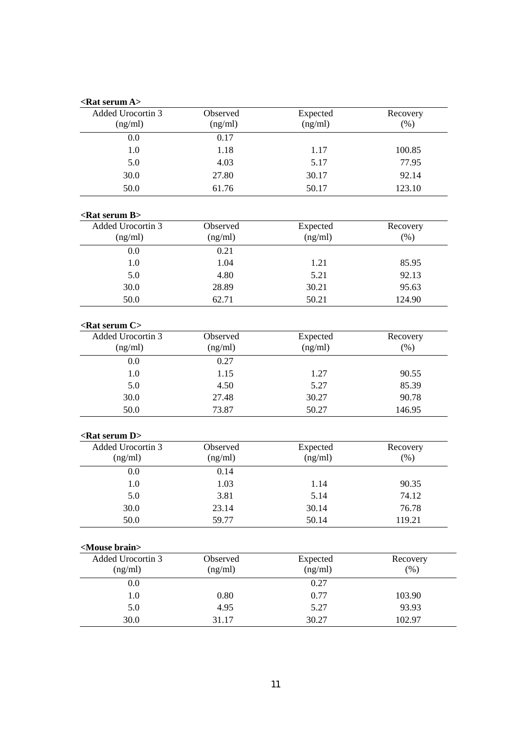|          |                                                                                                          | Recovery                                                                                                                        |
|----------|----------------------------------------------------------------------------------------------------------|---------------------------------------------------------------------------------------------------------------------------------|
|          |                                                                                                          | (% )                                                                                                                            |
|          |                                                                                                          |                                                                                                                                 |
|          |                                                                                                          | 100.85                                                                                                                          |
|          |                                                                                                          | 77.95                                                                                                                           |
|          |                                                                                                          |                                                                                                                                 |
|          |                                                                                                          | 92.14                                                                                                                           |
|          |                                                                                                          | 123.10                                                                                                                          |
|          |                                                                                                          |                                                                                                                                 |
| Observed | Expected                                                                                                 | Recovery                                                                                                                        |
| (ng/ml)  |                                                                                                          | $(\%)$                                                                                                                          |
| 0.21     |                                                                                                          |                                                                                                                                 |
| 1.04     | 1.21                                                                                                     | 85.95                                                                                                                           |
| 4.80     | 5.21                                                                                                     | 92.13                                                                                                                           |
| 28.89    | 30.21                                                                                                    | 95.63                                                                                                                           |
| 62.71    | 50.21                                                                                                    | 124.90                                                                                                                          |
|          |                                                                                                          |                                                                                                                                 |
| Observed |                                                                                                          | Recovery                                                                                                                        |
| (ng/ml)  | (ng/ml)                                                                                                  | (%)                                                                                                                             |
| 0.27     |                                                                                                          |                                                                                                                                 |
| 1.15     | 1.27                                                                                                     | 90.55                                                                                                                           |
| 4.50     | 5.27                                                                                                     | 85.39                                                                                                                           |
| 27.48    | 30.27                                                                                                    | 90.78                                                                                                                           |
| 73.87    | 50.27                                                                                                    | 146.95                                                                                                                          |
|          |                                                                                                          |                                                                                                                                 |
|          |                                                                                                          | Recovery                                                                                                                        |
| (ng/ml)  | (ng/ml)                                                                                                  | (% )                                                                                                                            |
| 0.14     |                                                                                                          |                                                                                                                                 |
| 1.03     | 1.14                                                                                                     | 90.35                                                                                                                           |
| 3.81     | 5.14                                                                                                     | 74.12                                                                                                                           |
| 23.14    | 30.14                                                                                                    | 76.78                                                                                                                           |
| 59.77    | 50.14                                                                                                    | 119.21                                                                                                                          |
|          |                                                                                                          |                                                                                                                                 |
|          |                                                                                                          | Recovery                                                                                                                        |
|          |                                                                                                          | (% )                                                                                                                            |
|          |                                                                                                          |                                                                                                                                 |
|          |                                                                                                          | 103.90                                                                                                                          |
| 4.95     | 5.27                                                                                                     | 93.93                                                                                                                           |
|          |                                                                                                          |                                                                                                                                 |
|          | Observed<br>(ng/ml)<br>0.17<br>1.18<br>4.03<br>27.80<br>61.76<br>Observed<br>Observed<br>(ng/ml)<br>0.80 | Expected<br>(ng/ml)<br>1.17<br>5.17<br>30.17<br>50.17<br>(ng/ml)<br>Expected<br>Expected<br>Expected<br>(ng/ml)<br>0.27<br>0.77 |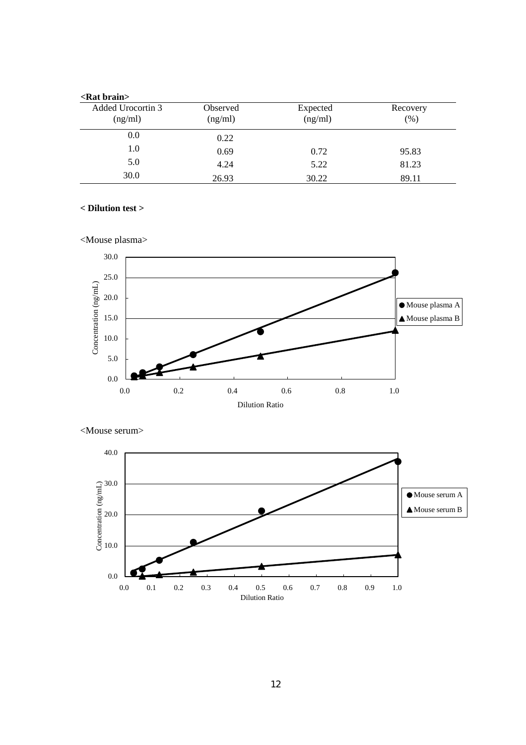| $\epsilon$ Rat brain         |                     |                     |                 |  |  |
|------------------------------|---------------------|---------------------|-----------------|--|--|
| Added Urocortin 3<br>(ng/ml) | Observed<br>(ng/ml) | Expected<br>(ng/ml) | Recovery<br>(%) |  |  |
| 0.0                          | 0.22                |                     |                 |  |  |
| 1.0                          | 0.69                | 0.72                | 95.83           |  |  |
| 5.0                          | 4.24                | 5.22                | 81.23           |  |  |
| 30.0                         | 26.93               | 30.22               | 89.11           |  |  |

# **< Dilution test >**





<Mouse serum>

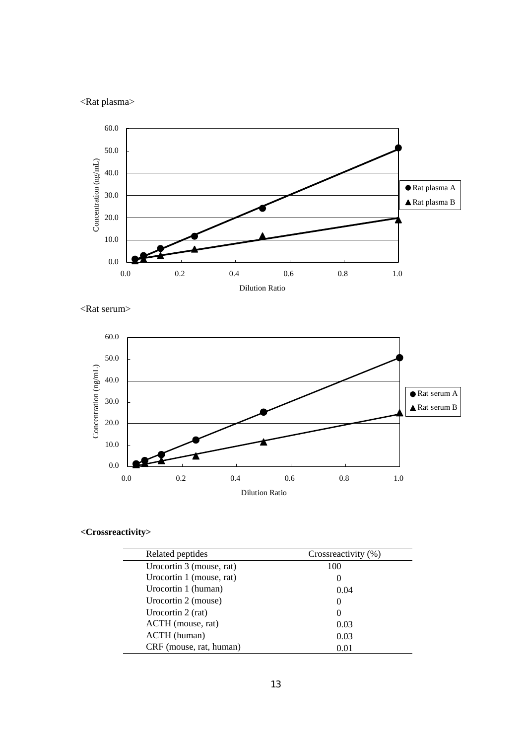# <Rat plasma>







# **<Crossreactivity>**

| Related peptides         | Crossreactivity (%) |
|--------------------------|---------------------|
| Urocortin 3 (mouse, rat) | 100                 |
| Urocortin 1 (mouse, rat) |                     |
| Urocortin 1 (human)      | 0.04                |
| Urocortin 2 (mouse)      | $\theta$            |
| Urocortin 2 (rat)        | $\theta$            |
| ACTH (mouse, rat)        | 0.03                |
| ACTH (human)             | 0.03                |
| CRF (mouse, rat, human)  | 0.01                |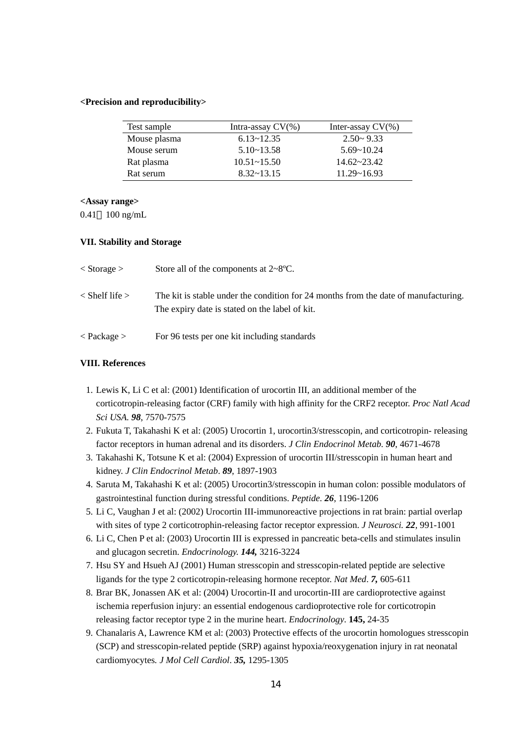#### **<Precision and reproducibility>**

| Test sample  | Intra-assay $CV(\% )$ | Inter-assay $CV(\% )$ |
|--------------|-----------------------|-----------------------|
| Mouse plasma | $6.13 - 12.35$        | $2.50 - 9.33$         |
| Mouse serum  | $5.10 - 13.58$        | $5.69 - 10.24$        |
| Rat plasma   | $10.51 - 15.50$       | $14.62 - 23.42$       |
| Rat serum    | $8.32 - 13.15$        | $11.29 - 16.93$       |

### **<Assay range>**

0.41 100 ng/mL

#### **VII. Stability and Storage**

| $\langle$ Storage $\rangle$ | Store all of the components at $2 \sim 8$ °C.                                                                                         |
|-----------------------------|---------------------------------------------------------------------------------------------------------------------------------------|
| $\langle$ Shelf life $>$    | The kit is stable under the condition for 24 months from the date of manufacturing.<br>The expiry date is stated on the label of kit. |
| $\langle$ Package $>$       | For 96 tests per one kit including standards                                                                                          |

## **VIII. References**

- 1. Lewis K, Li C et al: (2001) Identification of urocortin III, an additional member of the corticotropin-releasing factor (CRF) family with high affinity for the CRF2 receptor. *Proc Natl Acad Sci USA. 98*, 7570-7575
- 2. Fukuta T, Takahashi K et al: (2005) Urocortin 1, urocortin3/stresscopin, and corticotropin- releasing factor receptors in human adrenal and its disorders. *J Clin Endocrinol Metab. 90*, 4671-4678
- 3. Takahashi K, Totsune K et al: (2004) Expression of urocortin III/stresscopin in human heart and kidney. *J Clin Endocrinol Metab*. *89*, 1897-1903
- 4. Saruta M, Takahashi K et al: (2005) Urocortin3/stresscopin in human colon: possible modulators of gastrointestinal function during stressful conditions. *Peptide. 26*, 1196-1206
- 5. Li C, Vaughan J et al: (2002) Urocortin III-immunoreactive projections in rat brain: partial overlap with sites of type 2 corticotrophin-releasing factor receptor expression. *J Neurosci. 22*, 991-1001
- 6. Li C, Chen P et al: (2003) Urocortin III is expressed in pancreatic beta-cells and stimulates insulin and glucagon secretin. *Endocrinology. 144,* 3216-3224
- 7. Hsu SY and Hsueh AJ (2001) Human stresscopin and stresscopin-related peptide are selective ligands for the type 2 corticotropin-releasing hormone receptor. *Nat Med*. *7,* 605-611
- 8. Brar BK, Jonassen AK et al: (2004) Urocortin-II and urocortin-III are cardioprotective against ischemia reperfusion injury: an essential endogenous cardioprotective role for corticotropin releasing factor receptor type 2 in the murine heart. *Endocrinology*. **145,** 24-35
- 9. Chanalaris A, Lawrence KM et al: (2003) Protective effects of the urocortin homologues stresscopin (SCP) and stresscopin-related peptide (SRP) against hypoxia/reoxygenation injury in rat neonatal cardiomyocytes*. J Mol Cell Cardiol*. *35,* 1295-1305